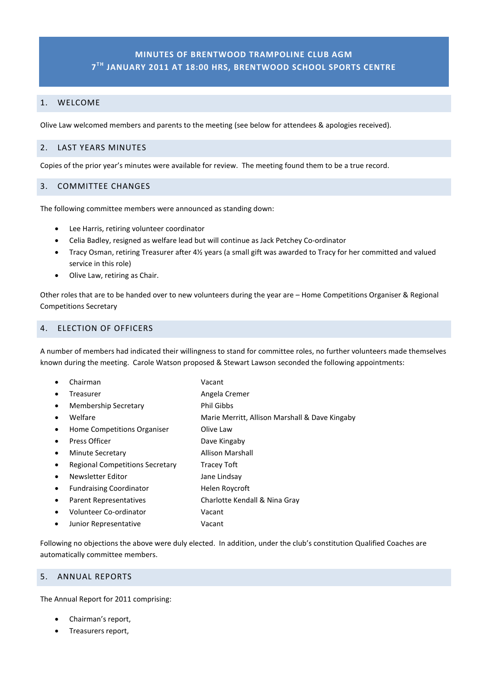# **MINUTES OF BRENTWOOD TRAMPOLINE CLUB AGM 7TH JANUARY 2011 AT 18:00 HRS, BRENTWOOD SCHOOL SPORTS CENTRE**

### 1. WELCOME

Olive Law welcomed members and parents to the meeting (see below for attendees & apologies received).

### 2. LAST YEARS MINUTES

Copies of the prior year's minutes were available for review. The meeting found them to be a true record.

### 3. COMMITTEE CHANGES

The following committee members were announced as standing down:

- Lee Harris, retiring volunteer coordinator
- Celia Badley, resigned as welfare lead but will continue as Jack Petchey Co-ordinator
- Tracy Osman, retiring Treasurer after 4½ years (a small gift was awarded to Tracy for her committed and valued service in this role)
- Olive Law, retiring as Chair.

Other roles that are to be handed over to new volunteers during the year are – Home Competitions Organiser & Regional Competitions Secretary

### 4. ELECTION OF OFFICERS

A number of members had indicated their willingness to stand for committee roles, no further volunteers made themselves known during the meeting. Carole Watson proposed & Stewart Lawson seconded the following appointments:

• Chairman Vacant **Freasurer 1988 Cremer** Angela Cremer Membership Secretary **Phil Gibbs** • Welfare Marie Merritt, Allison Marshall & Dave Kingaby • Home Competitions Organiser Olive Law Press Officer **Dave Kingaby** Minute Secretary **Allison Marshall** Regional Competitions Secretary Tracey Toft **Newsletter Editor Contract Contract Contract Contract Area Contract Contract Area Contract Contract Contract Contract Contract Contract Contract Contract Contract Contract Contract Contract Contract Contract Contract Co** Fundraising Coordinator **Helen Roycroft** • Parent Representatives Charlotte Kendall & Nina Gray • Volunteer Co-ordinator Vacant Junior Representative **Vacant** 

Following no objections the above were duly elected. In addition, under the club's constitution Qualified Coaches are automatically committee members.

#### 5. ANNUAL REPORTS

The Annual Report for 2011 comprising:

- Chairman's report,
- Treasurers report,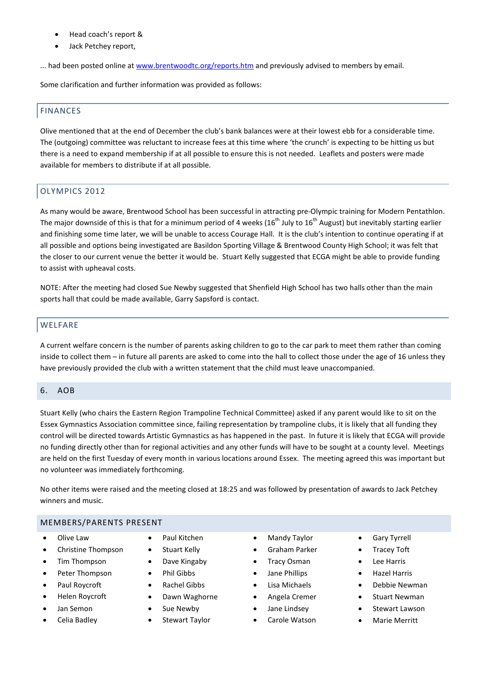- Head coach's report &
- Jack Petchey report,

... had been posted online at [www.brentwoodtc.org/reports.htm](http://www.brentwoodtc.org/reports.htm) and previously advised to members by email.

Some clarification and further information was provided as follows:

# FINANCES

Olive mentioned that at the end of December the club's bank balances were at their lowest ebb for a considerable time. The (outgoing) committee was reluctant to increase fees at this time where 'the crunch' is expecting to be hitting us but there is a need to expand membership if at all possible to ensure this is not needed. Leaflets and posters were made available for members to distribute if at all possible.

# OLYMPICS 2012

As many would be aware, Brentwood School has been successful in attracting pre-Olympic training for Modern Pentathlon. The major downside of this is that for a minimum period of 4 weeks (16<sup>th</sup> July to 16<sup>th</sup> August) but inevitably starting earlier and finishing some time later, we will be unable to access Courage Hall. It is the club's intention to continue operating if at all possible and options being investigated are Basildon Sporting Village & Brentwood County High School; it was felt that the closer to our current venue the better it would be. Stuart Kelly suggested that ECGA might be able to provide funding to assist with upheaval costs.

NOTE: After the meeting had closed Sue Newby suggested that Shenfield High School has two halls other than the main sports hall that could be made available, Garry Sapsford is contact.

# **WELFARE**

A current welfare concern is the number of parents asking children to go to the car park to meet them rather than coming inside to collect them – in future all parents are asked to come into the hall to collect those under the age of 16 unless they have previously provided the club with a written statement that the child must leave unaccompanied.

#### 6. AOB

Stuart Kelly (who chairs the Eastern Region Trampoline Technical Committee) asked if any parent would like to sit on the Essex Gymnastics Association committee since, failing representation by trampoline clubs, it is likely that all funding they control will be directed towards Artistic Gymnastics as has happened in the past. In future it is likely that ECGA will provide no funding directly other than for regional activities and any other funds will have to be sought at a county level. Meetings are held on the first Tuesday of every month in various locations around Essex. The meeting agreed this was important but no volunteer was immediately forthcoming.

No other items were raised and the meeting closed at 18:25 and was followed by presentation of awards to Jack Petchey winners and music.

#### MEMBERS/PARENTS PRESENT

- Olive Law
- Christine Thompson
- Tim Thompson
- Peter Thompson
- Paul Roycroft
- Helen Roycroft
- Jan Semon
- Celia Badley
- Paul Kitchen
- Stuart Kelly
- Dave Kingaby
- Phil Gibbs
- Rachel Gibbs
- Dawn Waghorne
- Sue Newby
- Stewart Taylor
- **Mandy Taylor**
- Graham Parker
- Tracy Osman
- Jane Phillips
- Lisa Michaels
- Angela Cremer
- Jane Lindsey
- Carole Watson
- **Gary Tyrrell**
- **Tracey Toft**
- Lee Harris
- Hazel Harris
- Debbie Newman
- **Stuart Newman**
- Stewart Lawson
- Marie Merritt